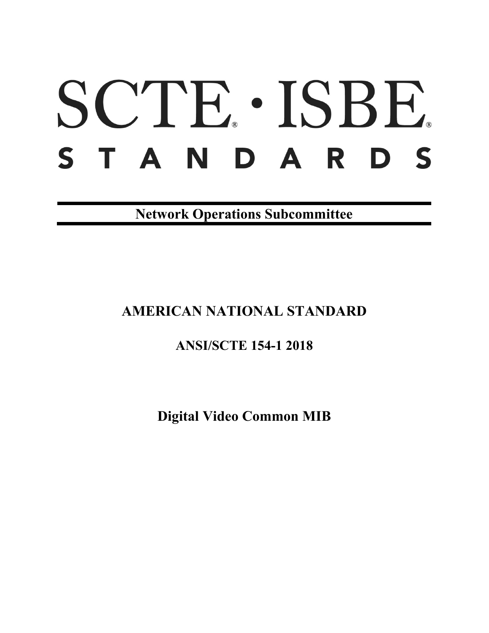# SCTE · ISBE. STANDARDS

**Network Operations Subcommittee**

# **AMERICAN NATIONAL STANDARD**

## **ANSI/SCTE 154-1 2018**

**Digital Video Common MIB**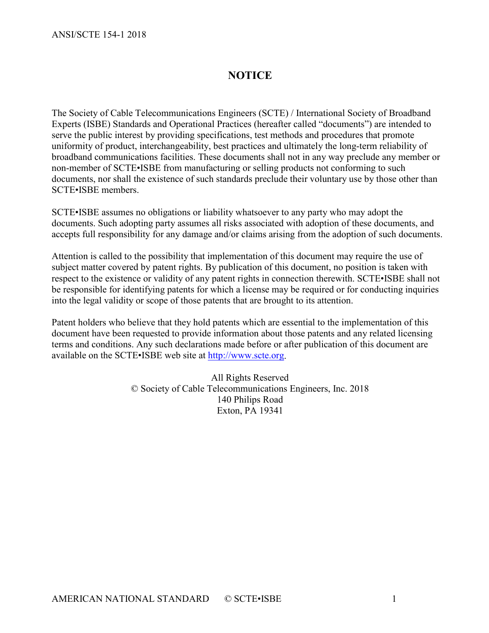### **NOTICE**

The Society of Cable Telecommunications Engineers (SCTE) / International Society of Broadband Experts (ISBE) Standards and Operational Practices (hereafter called "documents") are intended to serve the public interest by providing specifications, test methods and procedures that promote uniformity of product, interchangeability, best practices and ultimately the long-term reliability of broadband communications facilities. These documents shall not in any way preclude any member or non-member of SCTE•ISBE from manufacturing or selling products not conforming to such documents, nor shall the existence of such standards preclude their voluntary use by those other than SCTE•ISBE members.

SCTE•ISBE assumes no obligations or liability whatsoever to any party who may adopt the documents. Such adopting party assumes all risks associated with adoption of these documents, and accepts full responsibility for any damage and/or claims arising from the adoption of such documents.

Attention is called to the possibility that implementation of this document may require the use of subject matter covered by patent rights. By publication of this document, no position is taken with respect to the existence or validity of any patent rights in connection therewith. SCTE•ISBE shall not be responsible for identifying patents for which a license may be required or for conducting inquiries into the legal validity or scope of those patents that are brought to its attention.

Patent holders who believe that they hold patents which are essential to the implementation of this document have been requested to provide information about those patents and any related licensing terms and conditions. Any such declarations made before or after publication of this document are available on the SCTE•ISBE web site at [http://www.scte.org.](http://www.scte.org/)

> All Rights Reserved © Society of Cable Telecommunications Engineers, Inc. 2018 140 Philips Road Exton, PA 19341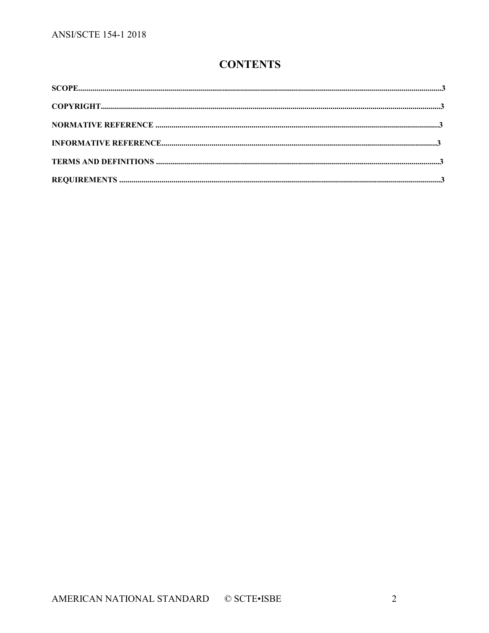## **CONTENTS**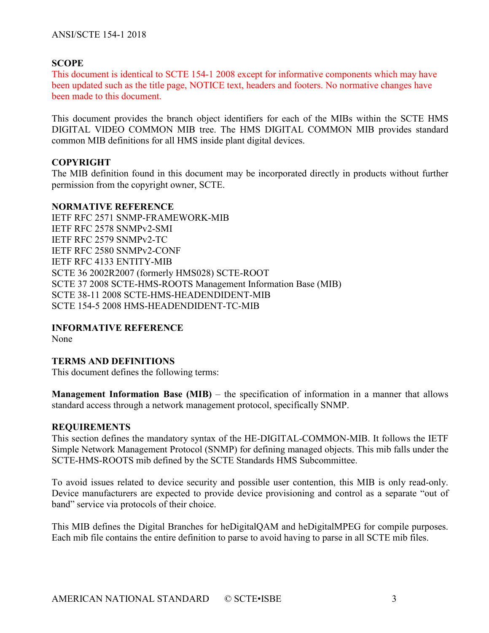#### **SCOPE**

This document is identical to SCTE 154-1 2008 except for informative components which may have been updated such as the title page, NOTICE text, headers and footers. No normative changes have been made to this document.

This document provides the branch object identifiers for each of the MIBs within the SCTE HMS DIGITAL VIDEO COMMON MIB tree. The HMS DIGITAL COMMON MIB provides standard common MIB definitions for all HMS inside plant digital devices.

#### **COPYRIGHT**

The MIB definition found in this document may be incorporated directly in products without further permission from the copyright owner, SCTE.

#### **NORMATIVE REFERENCE**

IETF RFC 2571 SNMP-FRAMEWORK-MIB IETF RFC 2578 SNMPv2-SMI IETF RFC 2579 SNMPv2-TC IETF RFC 2580 SNMPv2-CONF IETF RFC 4133 ENTITY-MIB SCTE 36 2002R2007 (formerly HMS028) SCTE-ROOT SCTE 37 2008 SCTE-HMS-ROOTS Management Information Base (MIB) SCTE 38-11 2008 SCTE-HMS-HEADENDIDENT-MIB SCTE 154-5 2008 HMS-HEADENDIDENT-TC-MIB

#### **INFORMATIVE REFERENCE**

None

#### **TERMS AND DEFINITIONS**

This document defines the following terms:

**Management Information Base (MIB)** – the specification of information in a manner that allows standard access through a network management protocol, specifically SNMP.

#### **REQUIREMENTS**

This section defines the mandatory syntax of the HE-DIGITAL-COMMON-MIB. It follows the IETF Simple Network Management Protocol (SNMP) for defining managed objects. This mib falls under the SCTE-HMS-ROOTS mib defined by the SCTE Standards HMS Subcommittee.

To avoid issues related to device security and possible user contention, this MIB is only read-only. Device manufacturers are expected to provide device provisioning and control as a separate "out of band" service via protocols of their choice.

This MIB defines the Digital Branches for heDigitalQAM and heDigitalMPEG for compile purposes. Each mib file contains the entire definition to parse to avoid having to parse in all SCTE mib files.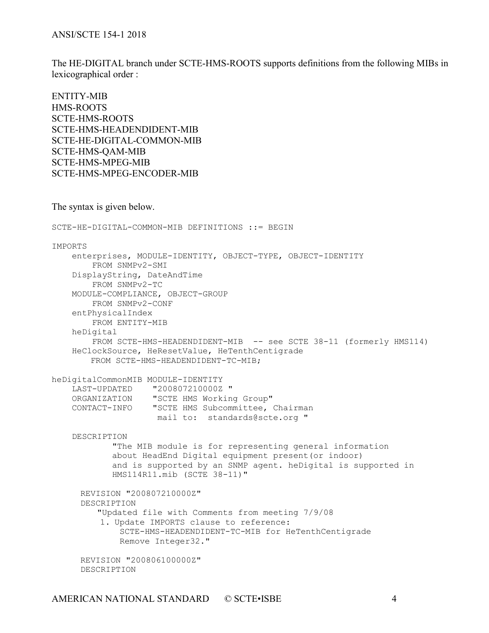The HE-DIGITAL branch under SCTE-HMS-ROOTS supports definitions from the following MIBs in lexicographical order :

ENTITY-MIB HMS-ROOTS SCTE-HMS-ROOTS SCTE-HMS-HEADENDIDENT-MIB SCTE-HE-DIGITAL-COMMON-MIB SCTE-HMS-QAM-MIB SCTE-HMS-MPEG-MIB SCTE-HMS-MPEG-ENCODER-MIB

The syntax is given below.

```
SCTE-HE-DIGITAL-COMMON-MIB DEFINITIONS ::= BEGIN
IMPORTS
    enterprises, MODULE-IDENTITY, OBJECT-TYPE, OBJECT-IDENTITY
         FROM SNMPv2-SMI
     DisplayString, DateAndTime
        FROM SNMPv2-TC 
    MODULE-COMPLIANCE, OBJECT-GROUP
         FROM SNMPv2-CONF
     entPhysicalIndex
        FROM ENTITY-MIB
     heDigital
         FROM SCTE-HMS-HEADENDIDENT-MIB -- see SCTE 38-11 (formerly HMS114)
     HeClockSource, HeResetValue, HeTenthCentigrade 
        FROM SCTE-HMS-HEADENDIDENT-TC-MIB; 
heDigitalCommonMIB MODULE-IDENTITY
 LAST-UPDATED "200807210000Z "
 ORGANIZATION "SCTE HMS Working Group"
 CONTACT-INFO "SCTE HMS Subcommittee, Chairman 
                    mail to: standards@scte.org "
     DESCRIPTION
             "The MIB module is for representing general information
             about HeadEnd Digital equipment present(or indoor)
             and is supported by an SNMP agent. heDigital is supported in 
             HMS114R11.mib (SCTE 38-11)"
     REVISION "200807210000Z"
     DESCRIPTION 
          "Updated file with Comments from meeting 7/9/08
         1. Update IMPORTS clause to reference:
             SCTE-HMS-HEADENDIDENT-TC-MIB for HeTenthCentigrade
             Remove Integer32."
     REVISION "200806100000Z"
     DESCRIPTION
```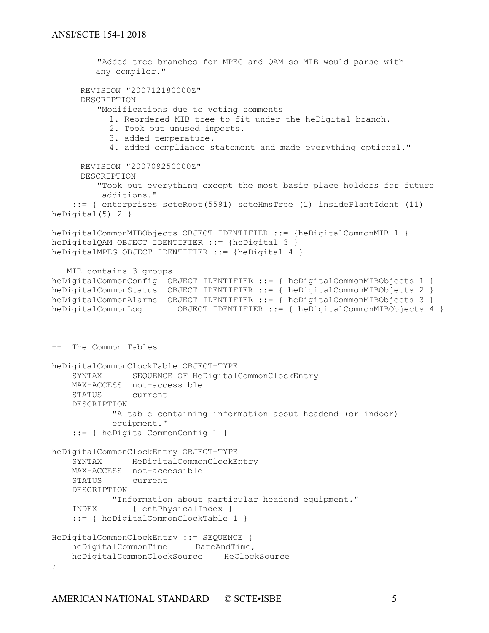```
 "Added tree branches for MPEG and QAM so MIB would parse with 
          any compiler."
     REVISION "200712180000Z"
     DESCRIPTION 
          "Modifications due to voting comments
           1. Reordered MIB tree to fit under the heDigital branch.
           2. Took out unused imports.
           3. added temperature.
           4. added compliance statement and made everything optional."
     REVISION "200709250000Z"
     DESCRIPTION 
          "Took out everything except the most basic place holders for future
          additions."
     ::= { enterprises scteRoot(5591) scteHmsTree (1) insidePlantIdent (11) 
heDigital(5) 2 }
heDigitalCommonMIBObjects OBJECT IDENTIFIER ::= {heDigitalCommonMIB 1 }
heDigitalQAM OBJECT IDENTIFIER ::= {heDigital 3 }
heDigitalMPEG OBJECT IDENTIFIER ::= {heDigital 4 }
-- MIB contains 3 groups
heDigitalCommonConfig OBJECT IDENTIFIER ::= { heDigitalCommonMIBObjects 1 }
heDigitalCommonStatus OBJECT IDENTIFIER ::= { heDigitalCommonMIBObjects 2 }
heDigitalCommonAlarms OBJECT IDENTIFIER ::= { heDigitalCommonMIBObjects 3 }
heDigitalCommonLog OBJECT IDENTIFIER ::= { heDigitalCommonMIBObjects 4 }
-- The Common Tables
heDigitalCommonClockTable OBJECT-TYPE
     SYNTAX SEQUENCE OF HeDigitalCommonClockEntry
    MAX-ACCESS not-accessible
     STATUS current
     DESCRIPTION
            "A table containing information about headend (or indoor)
             equipment."
     ::= { heDigitalCommonConfig 1 }
heDigitalCommonClockEntry OBJECT-TYPE
     SYNTAX HeDigitalCommonClockEntry
   MAX-ACCESS not-accessible<br>STATUS current
               current
     DESCRIPTION
         "Information about particular headend equipment."
     INDEX { entPhysicalIndex }
     ::= { heDigitalCommonClockTable 1 }
HeDigitalCommonClockEntry ::= SEQUENCE {
   heDigitalCommonTime DateAndTime,
    heDigitalCommonClockSource HeClockSource
}
```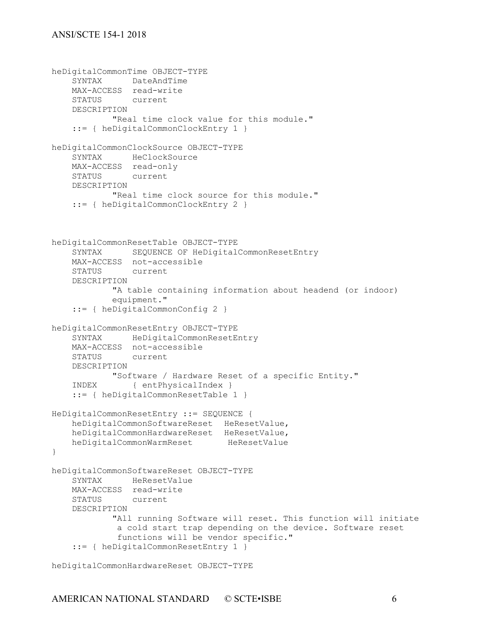```
heDigitalCommonTime OBJECT-TYPE
     SYNTAX DateAndTime
    MAX-ACCESS read-write
     STATUS current
     DESCRIPTION 
             "Real time clock value for this module."
     ::= { heDigitalCommonClockEntry 1 }
heDigitalCommonClockSource OBJECT-TYPE
     SYNTAX HeClockSource
    MAX-ACCESS read-only
     STATUS current
     DESCRIPTION 
             "Real time clock source for this module."
     ::= { heDigitalCommonClockEntry 2 }
heDigitalCommonResetTable OBJECT-TYPE
     SYNTAX SEQUENCE OF HeDigitalCommonResetEntry
    MAX-ACCESS not-accessible
     STATUS current
     DESCRIPTION
             "A table containing information about headend (or indoor)
             equipment."
     ::= { heDigitalCommonConfig 2 }
heDigitalCommonResetEntry OBJECT-TYPE
     SYNTAX HeDigitalCommonResetEntry
   MAX-ACCESS not-accessible<br>STATUS current
               current
     DESCRIPTION
             "Software / Hardware Reset of a specific Entity."
     INDEX { entPhysicalIndex }
     ::= { heDigitalCommonResetTable 1 }
HeDigitalCommonResetEntry ::= SEQUENCE {
     heDigitalCommonSoftwareReset HeResetValue,
   heDigitalCommonHardwareReset HeResetValue,<br>heDigitalCommonWarmReset HeResetValue
   heDigitalCommonWarmReset
}
heDigitalCommonSoftwareReset OBJECT-TYPE
     SYNTAX HeResetValue
    MAX-ACCESS read-write
     STATUS current
     DESCRIPTION 
             "All running Software will reset. This function will initiate 
              a cold start trap depending on the device. Software reset
              functions will be vendor specific."
     ::= { heDigitalCommonResetEntry 1 }
```
heDigitalCommonHardwareReset OBJECT-TYPE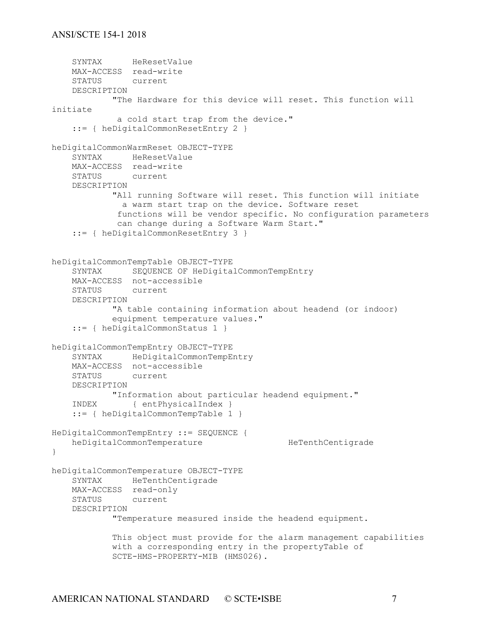```
 SYNTAX HeResetValue
    MAX-ACCESS read-write
    STATUS current
    DESCRIPTION 
            "The Hardware for this device will reset. This function will 
initiate 
             a cold start trap from the device."
     ::= { heDigitalCommonResetEntry 2 }
heDigitalCommonWarmReset OBJECT-TYPE
    SYNTAX HeResetValue
    MAX-ACCESS read-write
    STATUS current
    DESCRIPTION 
            "All running Software will reset. This function will initiate 
              a warm start trap on the device. Software reset
             functions will be vendor specific. No configuration parameters
             can change during a Software Warm Start."
     ::= { heDigitalCommonResetEntry 3 }
heDigitalCommonTempTable OBJECT-TYPE
    SYNTAX SEQUENCE OF HeDigitalCommonTempEntry
    MAX-ACCESS not-accessible
    STATUS current
    DESCRIPTION
            "A table containing information about headend (or indoor)
            equipment temperature values."
     ::= { heDigitalCommonStatus 1 }
heDigitalCommonTempEntry OBJECT-TYPE
    SYNTAX HeDigitalCommonTempEntry
    MAX-ACCESS not-accessible
    STATUS current
    DESCRIPTION
    "Information about particular headend equipment."
            { entPhysicalIndex }
     ::= { heDigitalCommonTempTable 1 }
HeDigitalCommonTempEntry ::= SEQUENCE {
   heDigitalCommonTemperature HeTenthCentigrade
}
heDigitalCommonTemperature OBJECT-TYPE
    SYNTAX HeTenthCentigrade
    MAX-ACCESS read-only
    STATUS current
    DESCRIPTION 
            "Temperature measured inside the headend equipment.
            This object must provide for the alarm management capabilities
            with a corresponding entry in the propertyTable of
            SCTE-HMS-PROPERTY-MIB (HMS026).
```